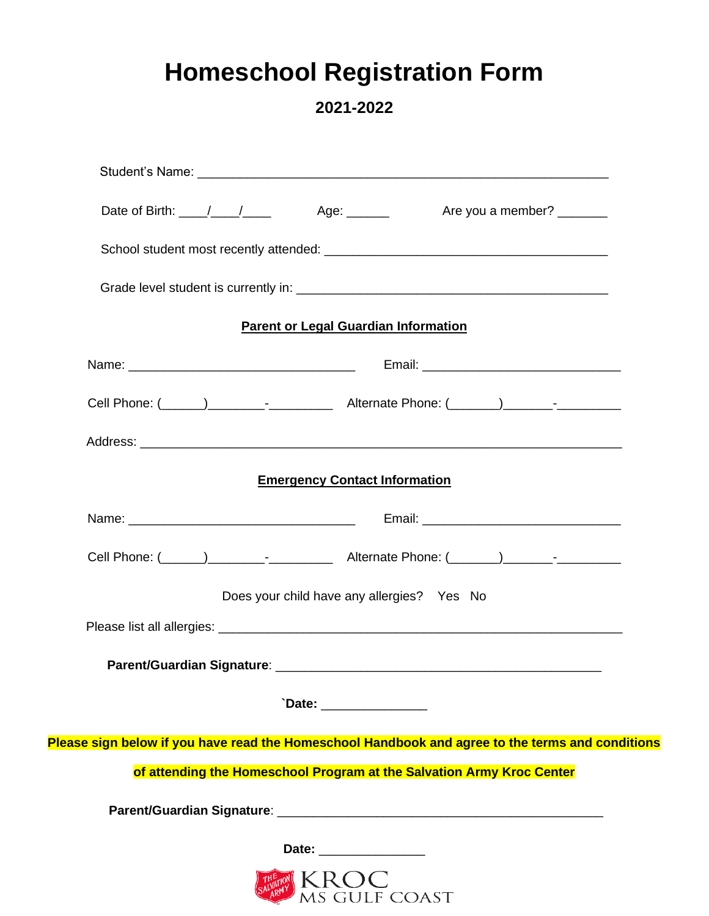# **Homeschool Registration Form**

**2021-2022**

|                                                                                                  | Date of Birth: \building \building \building \building \building \building \building \building \building \building \building \building \building \building \building \building \building \building \building \building \buildi |  |  |
|--------------------------------------------------------------------------------------------------|--------------------------------------------------------------------------------------------------------------------------------------------------------------------------------------------------------------------------------|--|--|
|                                                                                                  |                                                                                                                                                                                                                                |  |  |
|                                                                                                  |                                                                                                                                                                                                                                |  |  |
|                                                                                                  | <b>Parent or Legal Guardian Information</b>                                                                                                                                                                                    |  |  |
|                                                                                                  |                                                                                                                                                                                                                                |  |  |
|                                                                                                  |                                                                                                                                                                                                                                |  |  |
|                                                                                                  |                                                                                                                                                                                                                                |  |  |
|                                                                                                  | <b>Emergency Contact Information</b>                                                                                                                                                                                           |  |  |
|                                                                                                  |                                                                                                                                                                                                                                |  |  |
|                                                                                                  |                                                                                                                                                                                                                                |  |  |
|                                                                                                  | Does your child have any allergies? Yes No                                                                                                                                                                                     |  |  |
|                                                                                                  |                                                                                                                                                                                                                                |  |  |
|                                                                                                  |                                                                                                                                                                                                                                |  |  |
|                                                                                                  | `Date: ________________                                                                                                                                                                                                        |  |  |
| Please sign below if you have read the Homeschool Handbook and agree to the terms and conditions |                                                                                                                                                                                                                                |  |  |
|                                                                                                  | of attending the Homeschool Program at the Salvation Army Kroc Center                                                                                                                                                          |  |  |
|                                                                                                  |                                                                                                                                                                                                                                |  |  |
|                                                                                                  | Date: __________________                                                                                                                                                                                                       |  |  |
|                                                                                                  | <b>ANDER SERVICE SERVICE</b>                                                                                                                                                                                                   |  |  |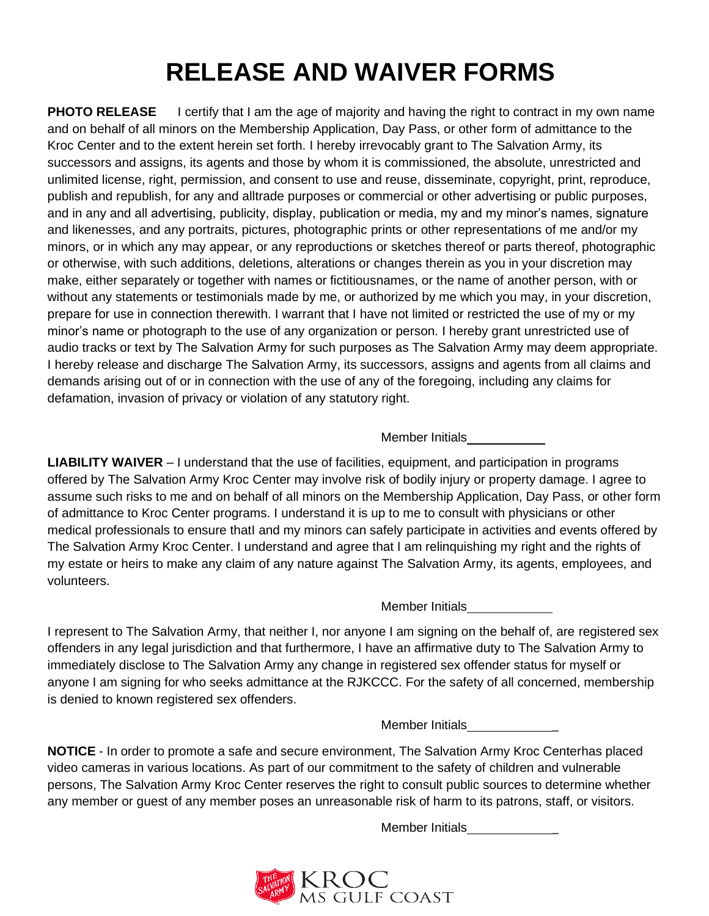# **RELEASE AND WAIVER FORMS**

**PHOTO RELEASE** I certify that I am the age of majority and having the right to contract in my own name and on behalf of all minors on the Membership Application, Day Pass, or other form of admittance to the Kroc Center and to the extent herein set forth. I hereby irrevocably grant to The Salvation Army, its successors and assigns, its agents and those by whom it is commissioned, the absolute, unrestricted and unlimited license, right, permission, and consent to use and reuse, disseminate, copyright, print, reproduce, publish and republish, for any and alltrade purposes or commercial or other advertising or public purposes, and in any and all advertising, publicity, display, publication or media, my and my minor's names, signature and likenesses, and any portraits, pictures, photographic prints or other representations of me and/or my minors, or in which any may appear, or any reproductions or sketches thereof or parts thereof, photographic or otherwise, with such additions, deletions, alterations or changes therein as you in your discretion may make, either separately or together with names or fictitiousnames, or the name of another person, with or without any statements or testimonials made by me, or authorized by me which you may, in your discretion, prepare for use in connection therewith. I warrant that I have not limited or restricted the use of my or my minor's name or photograph to the use of any organization or person. I hereby grant unrestricted use of audio tracks or text by The Salvation Army for such purposes as The Salvation Army may deem appropriate. I hereby release and discharge The Salvation Army, its successors, assigns and agents from all claims and demands arising out of or in connection with the use of any of the foregoing, including any claims for defamation, invasion of privacy or violation of any statutory right.

Member Initials

**LIABILITY WAIVER** – I understand that the use of facilities, equipment, and participation in programs offered by The Salvation Army Kroc Center may involve risk of bodily injury or property damage. I agree to assume such risks to me and on behalf of all minors on the Membership Application, Day Pass, or other form of admittance to Kroc Center programs. I understand it is up to me to consult with physicians or other medical professionals to ensure thatI and my minors can safely participate in activities and events offered by The Salvation Army Kroc Center. I understand and agree that I am relinquishing my right and the rights of my estate or heirs to make any claim of any nature against The Salvation Army, its agents, employees, and volunteers.

Member Initials

I represent to The Salvation Army, that neither I, nor anyone I am signing on the behalf of, are registered sex offenders in any legal jurisdiction and that furthermore, I have an affirmative duty to The Salvation Army to immediately disclose to The Salvation Army any change in registered sex offender status for myself or anyone I am signing for who seeks admittance at the RJKCCC. For the safety of all concerned, membership is denied to known registered sex offenders.

Member Initials \_

**NOTICE** - In order to promote a safe and secure environment, The Salvation Army Kroc Centerhas placed video cameras in various locations. As part of our commitment to the safety of children and vulnerable persons, The Salvation Army Kroc Center reserves the right to consult public sources to determine whether any member or guest of any member poses an unreasonable risk of harm to its patrons, staff, or visitors.

Member Initials \_

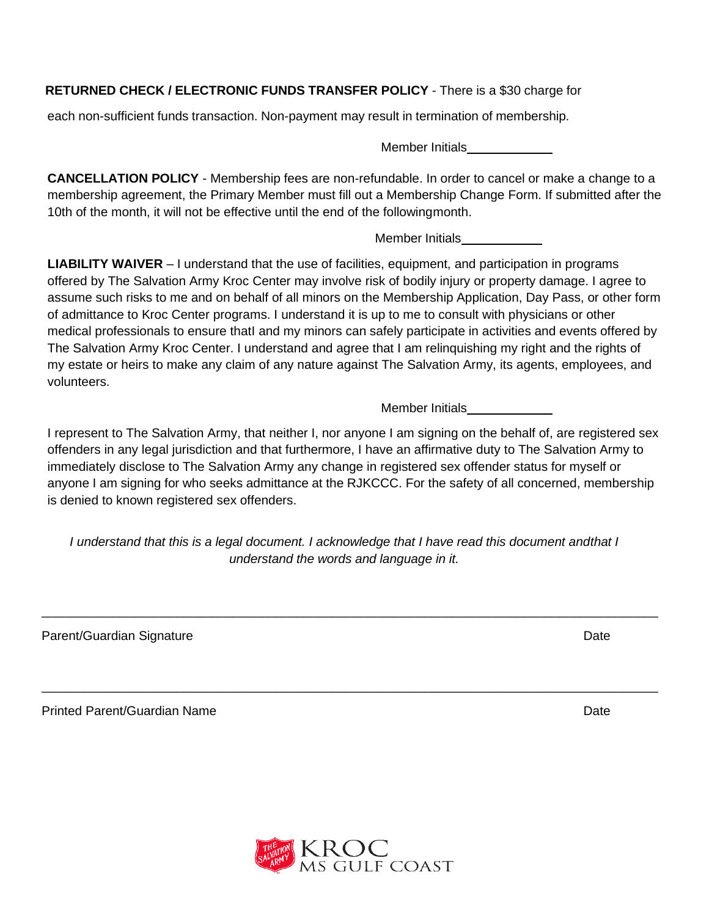# **RETURNED CHECK / ELECTRONIC FUNDS TRANSFER POLICY** - There is a \$30 charge for

each non-sufficient funds transaction. Non-payment may result in termination of membership.

Member Initials

**CANCELLATION POLICY** - Membership fees are non-refundable. In order to cancel or make a change to a membership agreement, the Primary Member must fill out a Membership Change Form. If submitted after the 10th of the month, it will not be effective until the end of the followingmonth.

Member Initials

**LIABILITY WAIVER** – I understand that the use of facilities, equipment, and participation in programs offered by The Salvation Army Kroc Center may involve risk of bodily injury or property damage. I agree to assume such risks to me and on behalf of all minors on the Membership Application, Day Pass, or other form of admittance to Kroc Center programs. I understand it is up to me to consult with physicians or other medical professionals to ensure thatI and my minors can safely participate in activities and events offered by The Salvation Army Kroc Center. I understand and agree that I am relinquishing my right and the rights of my estate or heirs to make any claim of any nature against The Salvation Army, its agents, employees, and volunteers.

Member Initials

I represent to The Salvation Army, that neither I, nor anyone I am signing on the behalf of, are registered sex offenders in any legal jurisdiction and that furthermore, I have an affirmative duty to The Salvation Army to immediately disclose to The Salvation Army any change in registered sex offender status for myself or anyone I am signing for who seeks admittance at the RJKCCC. For the safety of all concerned, membership is denied to known registered sex offenders.

*I understand that this is a legal document. I acknowledge that I have read this document andthat I understand the words and language in it.*

\_\_\_\_\_\_\_\_\_\_\_\_\_\_\_\_\_\_\_\_\_\_\_\_\_\_\_\_\_\_\_\_\_\_\_\_\_\_\_\_\_\_\_\_\_\_\_\_\_\_\_\_\_\_\_\_\_\_\_\_\_\_\_\_\_\_\_\_\_\_\_\_\_\_\_\_\_\_\_\_\_\_\_\_\_\_\_

\_\_\_\_\_\_\_\_\_\_\_\_\_\_\_\_\_\_\_\_\_\_\_\_\_\_\_\_\_\_\_\_\_\_\_\_\_\_\_\_\_\_\_\_\_\_\_\_\_\_\_\_\_\_\_\_\_\_\_\_\_\_\_\_\_\_\_\_\_\_\_\_\_\_\_\_\_\_\_\_\_\_\_\_\_\_\_

Parent/Guardian Signature Date Date Communication of the Date Date Date

Printed Parent/Guardian Name Date Date of Contract and Contract of Contract and Date Date Date



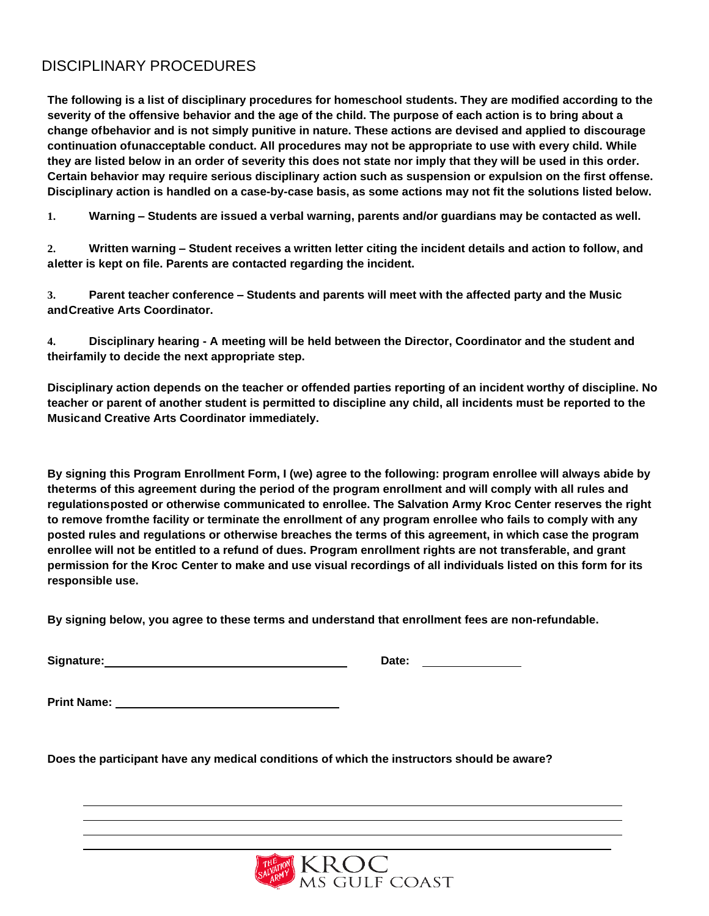# DISCIPLINARY PROCEDURES

**The following is a list of disciplinary procedures for homeschool students. They are modified according to the** severity of the offensive behavior and the age of the child. The purpose of each action is to bring about a **change ofbehavior and is not simply punitive in nature. These actions are devised and applied to discourage continuation ofunacceptable conduct. All procedures may not be appropriate to use with every child. While they are listed below in an order of severity this does not state nor imply that they will be used in this order. Certain behavior may require serious disciplinary action such as suspension or expulsion on the first offense. Disciplinary action is handled on a case-by-case basis, as some actions may not fit the solutions listed below.**

**1. Warning – Students are issued a verbal warning, parents and/or guardians may be contacted as well.**

2. Written warning – Student receives a written letter citing the incident details and action to follow, and **aletter is kept on file. Parents are contacted regarding the incident.**

**3. Parent teacher conference – Students and parents will meet with the affected party and the Music andCreative Arts Coordinator.**

**4. Disciplinary hearing - A meeting will be held between the Director, Coordinator and the student and theirfamily to decide the next appropriate step.**

**Disciplinary action depends on the teacher or offended parties reporting of an incident worthy of discipline. No teacher or parent of another student is permitted to discipline any child, all incidents must be reported to the Musicand Creative Arts Coordinator immediately.**

**By signing this Program Enrollment Form, I (we) agree to the following: program enrollee will always abide by theterms of this agreement during the period of the program enrollment and will comply with all rules and regulationsposted or otherwise communicated to enrollee. The Salvation Army Kroc Center reserves the right to remove fromthe facility or terminate the enrollment of any program enrollee who fails to comply with any posted rules and regulations or otherwise breaches the terms of this agreement, in which case the program enrollee will not be entitled to a refund of dues. Program enrollment rights are not transferable, and grant**  permission for the Kroc Center to make and use visual recordings of all individuals listed on this form for its **responsible use.**

**By signing below, you agree to these terms and understand that enrollment fees are non-refundable.**

**Signature:** 2008. 2019. 2019. 2020. 2021. 2021. 2021. 2022. 2022. 2022. 2022. 2022. 2022. 2022. 2022. 2022. 2022. 2022. 2022. 2022. 2022. 2022. 2022. 2022. 2022. 2022. 2022. 2022. 2022. 2022. 2022. 2022. 2022. 2022. 2022.

**Print Name:**

**Does the participant have any medical conditions of which the instructors should be aware?**

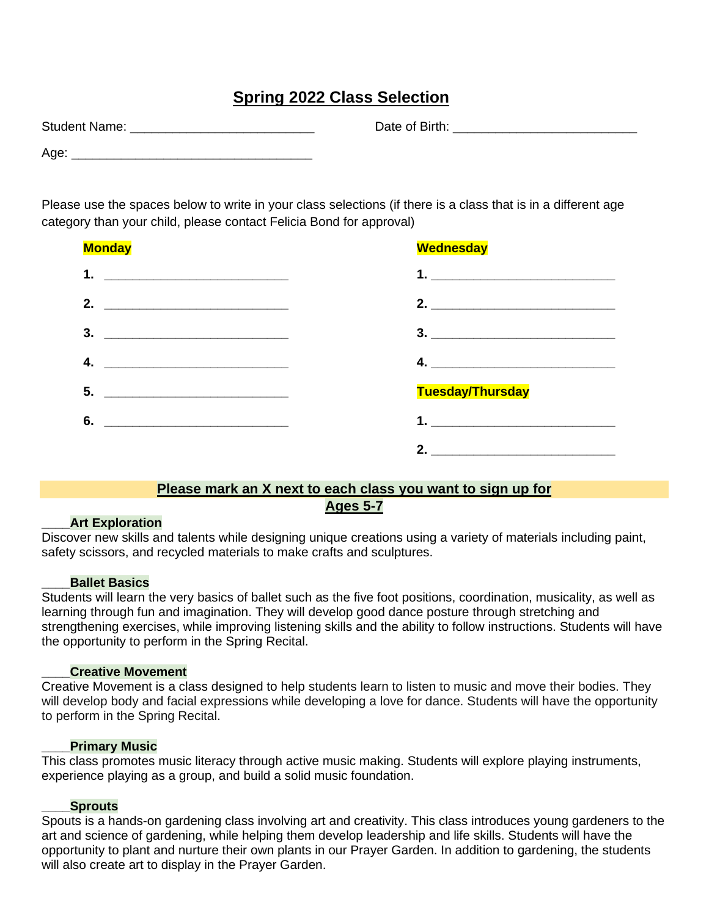# **Spring 2022 Class Selection**

Date of Birth: **Example 3** 

| <b>Student Name:</b> |  |
|----------------------|--|
| Age:                 |  |

Please use the spaces below to write in your class selections (if there is a class that is in a different age category than your child, please contact Felicia Bond for approval)

| <b>Monday</b>                                                                                                               | <b>Wednesday</b>                |
|-----------------------------------------------------------------------------------------------------------------------------|---------------------------------|
| 1. $\qquad \qquad$                                                                                                          | 1.                              |
| 2.                                                                                                                          | 2. $\qquad \qquad$              |
| 3.<br><u> 1980 - Johann Barn, mars ar breithinn ar breithinn an t-Amhain ann an t-Amhain an t-Amhain an t-Amhain an t-A</u> | $3.$ $\overline{\phantom{a}}$   |
| 4.                                                                                                                          | 4. $\overline{\phantom{a}}$     |
| 5.                                                                                                                          | <b>Tuesday/Thursday</b>         |
| 6.                                                                                                                          | 1. <u>_______________</u> _____ |
|                                                                                                                             |                                 |

# **Please mark an X next to each class you want to sign up for Ages 5-7**

### **\_\_\_\_Art Exploration**

Discover new skills and talents while designing unique creations using a variety of materials including paint, safety scissors, and recycled materials to make crafts and sculptures.

### **\_\_\_\_Ballet Basics**

Students will learn the very basics of ballet such as the five foot positions, coordination, musicality, as well as learning through fun and imagination. They will develop good dance posture through stretching and strengthening exercises, while improving listening skills and the ability to follow instructions. Students will have the opportunity to perform in the Spring Recital.

### **\_\_\_\_Creative Movement**

Creative Movement is a class designed to help students learn to listen to music and move their bodies. They will develop body and facial expressions while developing a love for dance. Students will have the opportunity to perform in the Spring Recital.

### **\_\_\_\_Primary Music**

This class promotes music literacy through active music making. Students will explore playing instruments, experience playing as a group, and build a solid music foundation.

### **\_\_\_\_Sprouts**

Spouts is a hands-on gardening class involving art and creativity. This class introduces young gardeners to the art and science of gardening, while helping them develop leadership and life skills. Students will have the opportunity to plant and nurture their own plants in our Prayer Garden. In addition to gardening, the students will also create art to display in the Prayer Garden.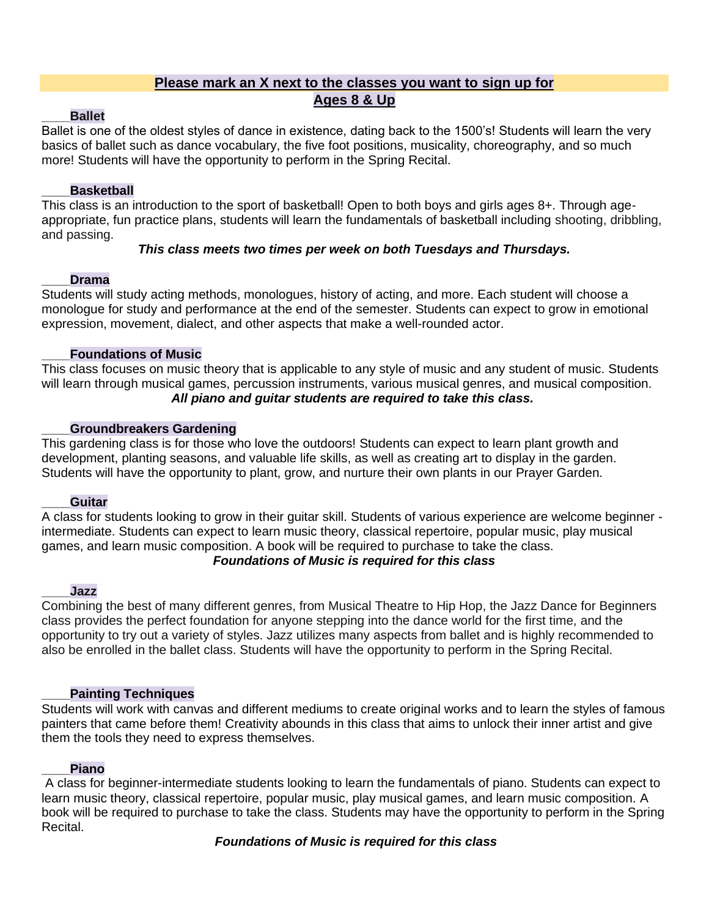# **Please mark an X next to the classes you want to sign up for Ages 8 & Up**

# **\_\_\_\_Ballet**

Ballet is one of the oldest styles of dance in existence, dating back to the 1500's! Students will learn the very basics of ballet such as dance vocabulary, the five foot positions, musicality, choreography, and so much more! Students will have the opportunity to perform in the Spring Recital.

# **\_\_\_\_Basketball**

This class is an introduction to the sport of basketball! Open to both boys and girls ages 8+. Through ageappropriate, fun practice plans, students will learn the fundamentals of basketball including [shooting, dribbling,](https://www.i9sports.com/coaching-resources/basketball/coaching-videos) [and passing.](https://www.i9sports.com/coaching-resources/basketball/coaching-videos)

# *This class meets two times per week on both Tuesdays and Thursdays.*

# **\_\_\_\_Drama**

Students will study acting methods, monologues, history of acting, and more. Each student will choose a monologue for study and performance at the end of the semester. Students can expect to grow in emotional expression, movement, dialect, and other aspects that make a well-rounded actor.

# **\_\_\_\_Foundations of Music**

This class focuses on music theory that is applicable to any style of music and any student of music. Students will learn through musical games, percussion instruments, various musical genres, and musical composition. *All piano and guitar students are required to take this class.*

# **\_\_\_\_Groundbreakers Gardening**

This gardening class is for those who love the outdoors! Students can expect to learn plant growth and development, planting seasons, and valuable life skills, as well as creating art to display in the garden. Students will have the opportunity to plant, grow, and nurture their own plants in our Prayer Garden.

### **\_\_\_\_Guitar**

A class for students looking to grow in their guitar skill. Students of various experience are welcome beginner intermediate. Students can expect to learn music theory, classical repertoire, popular music, play musical games, and learn music composition. A book will be required to purchase to take the class.

# *Foundations of Music is required for this class*

### **\_\_\_\_Jazz**

Combining the best of many different genres, from Musical Theatre to Hip Hop, the Jazz Dance for Beginners class provides the perfect foundation for anyone stepping into the dance world for the first time, and the opportunity to try out a variety of styles. Jazz utilizes many aspects from ballet and is highly recommended to also be enrolled in the ballet class. Students will have the opportunity to perform in the Spring Recital.

# **\_\_\_\_Painting Techniques**

Students will work with canvas and different mediums to create original works and to learn the styles of famous painters that came before them! Creativity abounds in this class that aims to unlock their inner artist and give them the tools they need to express themselves.

# **\_\_\_\_Piano**

A class for beginner-intermediate students looking to learn the fundamentals of piano. Students can expect to learn music theory, classical repertoire, popular music, play musical games, and learn music composition. A book will be required to purchase to take the class. Students may have the opportunity to perform in the Spring Recital.

# *Foundations of Music is required for this class*